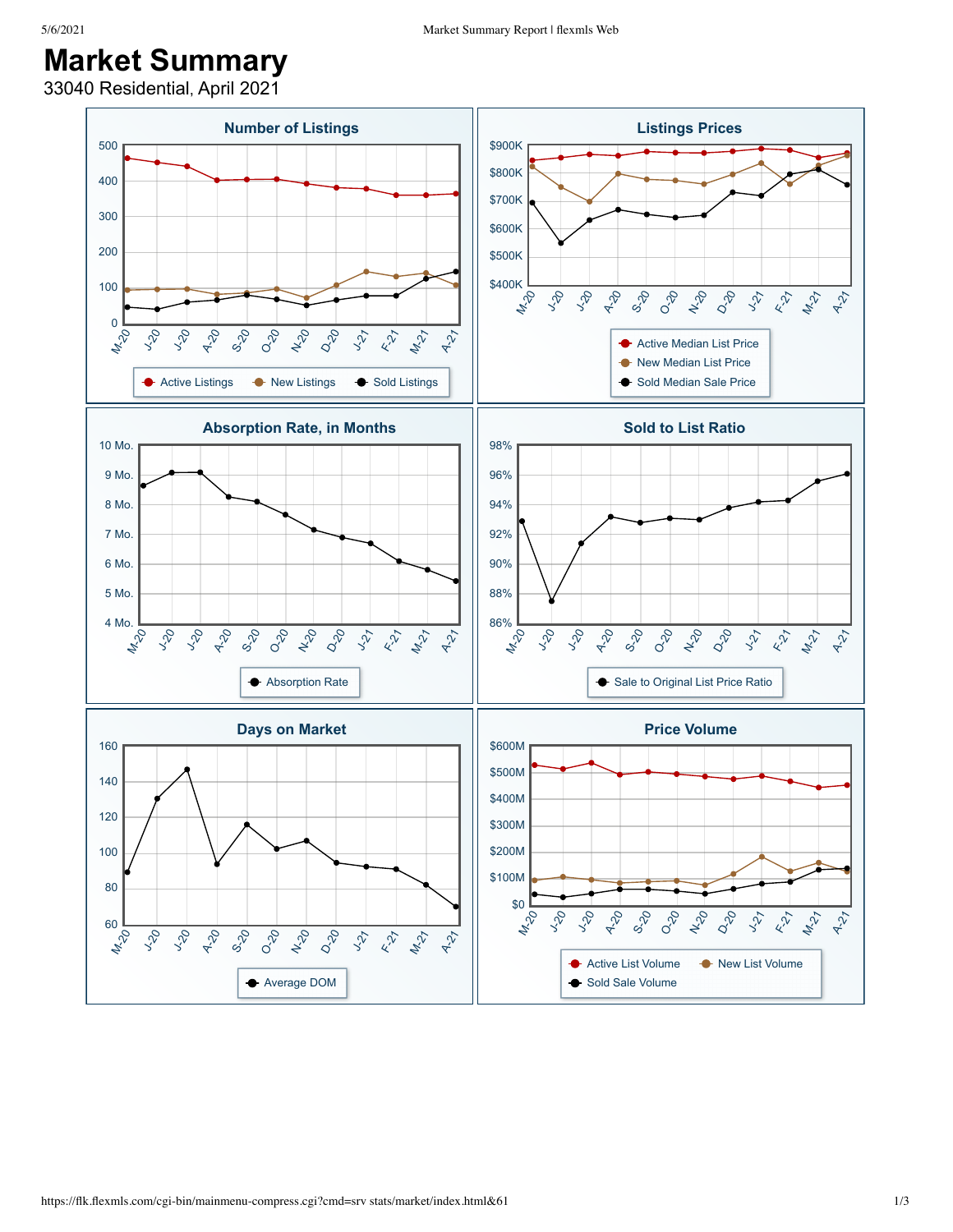## **Market Summary**

33040 Residential, April 2021

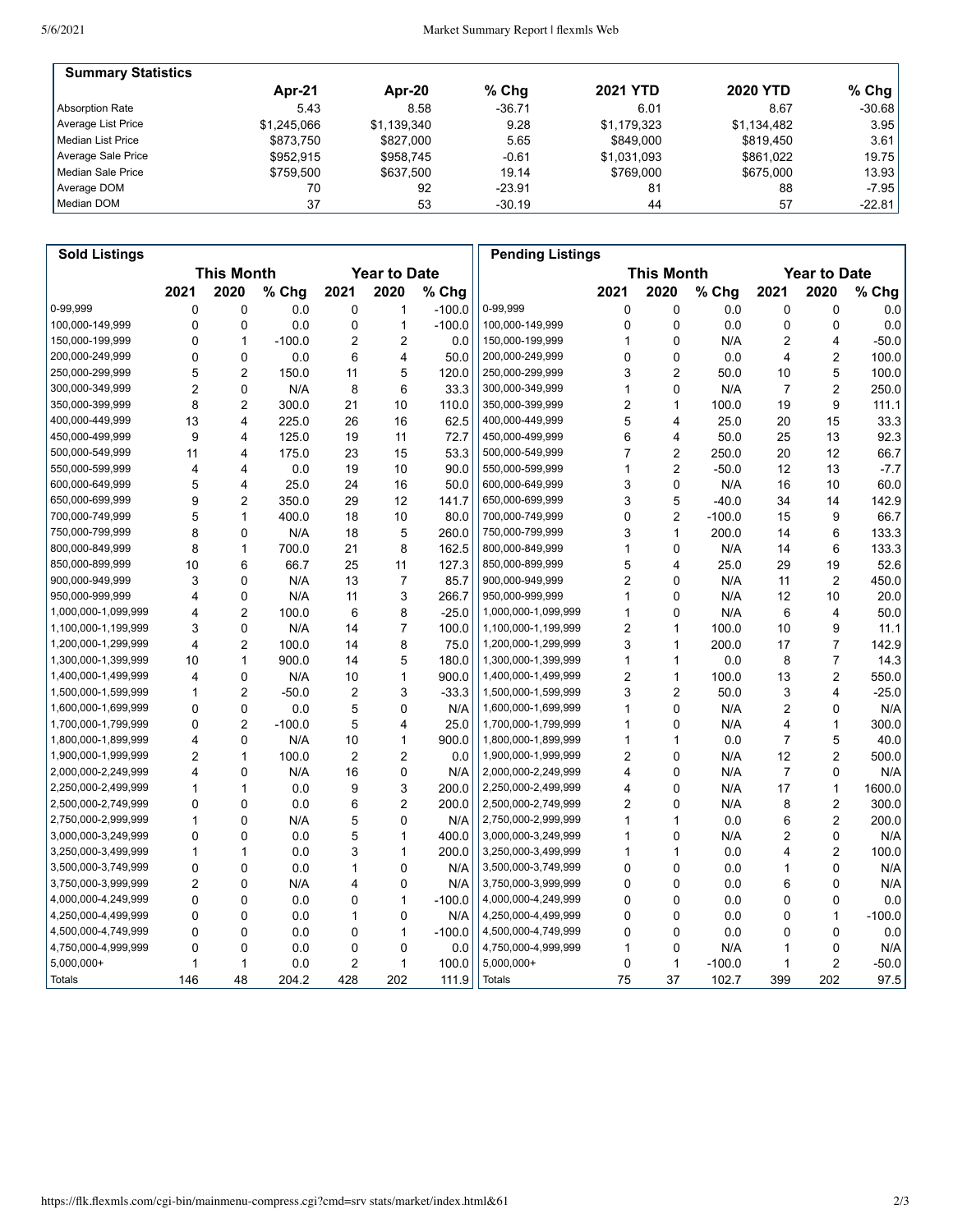| <b>Summary Statistics</b> |             |             |          |                 |                 |           |
|---------------------------|-------------|-------------|----------|-----------------|-----------------|-----------|
|                           | Apr-21      | Apr-20      | $%$ Chq  | <b>2021 YTD</b> | <b>2020 YTD</b> | % Chg $ $ |
| Absorption Rate           | 5.43        | 8.58        | $-36.71$ | 6.01            | 8.67            | $-30.68$  |
| Average List Price        | \$1.245.066 | \$1,139,340 | 9.28     | \$1,179,323     | \$1,134,482     | 3.95      |
| Median List Price         | \$873.750   | \$827,000   | 5.65     | \$849.000       | \$819.450       | 3.61      |
| Average Sale Price        | \$952.915   | \$958.745   | $-0.61$  | \$1,031,093     | \$861.022       | 19.75     |
| Median Sale Price         | \$759.500   | \$637.500   | 19.14    | \$769.000       | \$675,000       | 13.93     |
| Average DOM               | 70          | 92          | $-23.91$ | 81              | 88              | $-7.95$   |
| Median DOM                | 37          | 53          | $-30.19$ | 44              | 57              | $-22.81$  |

| <b>Sold Listings</b> |                                          |                |          |                |                   |          | <b>Pending Listings</b> |      |                     |          |                |                |          |
|----------------------|------------------------------------------|----------------|----------|----------------|-------------------|----------|-------------------------|------|---------------------|----------|----------------|----------------|----------|
|                      | <b>This Month</b><br><b>Year to Date</b> |                |          |                | <b>This Month</b> |          |                         |      | <b>Year to Date</b> |          |                |                |          |
|                      | 2021                                     | 2020           | % Chg    | 2021           | 2020              | % Chg    |                         | 2021 | 2020                | % Chg    | 2021           | 2020           | % Chg    |
| 0-99.999             | 0                                        | 0              | 0.0      | $\mathbf 0$    | 1                 | $-100.0$ | 0-99,999                | 0    | 0                   | 0.0      | 0              | 0              | 0.0      |
| 100,000-149,999      | 0                                        | 0              | 0.0      | 0              | $\mathbf{1}$      | $-100.0$ | 100,000-149,999         | 0    | 0                   | 0.0      | 0              | 0              | 0.0      |
| 150.000-199.999      | 0                                        | $\mathbf{1}$   | $-100.0$ | 2              | $\overline{2}$    | 0.0      | 150,000-199,999         | 1    | 0                   | N/A      | 2              | 4              | $-50.0$  |
| 200,000-249,999      | 0                                        | 0              | 0.0      | 6              | 4                 | 50.0     | 200,000-249,999         | 0    | 0                   | 0.0      | 4              | 2              | 100.0    |
| 250,000-299,999      | 5                                        | 2              | 150.0    | 11             | 5                 | 120.0    | 250,000-299,999         | 3    | 2                   | 50.0     | 10             | 5              | 100.0    |
| 300,000-349,999      | 2                                        | 0              | N/A      | 8              | 6                 | 33.3     | 300,000-349,999         | 1    | 0                   | N/A      | 7              | 2              | 250.0    |
| 350,000-399,999      | 8                                        | $\overline{2}$ | 300.0    | 21             | 10                | 110.0    | 350,000-399,999         | 2    | 1                   | 100.0    | 19             | 9              | 111.1    |
| 400.000-449.999      | 13                                       | $\overline{4}$ | 225.0    | 26             | 16                | 62.5     | 400,000-449,999         | 5    | 4                   | 25.0     | 20             | 15             | 33.3     |
| 450,000-499,999      | 9                                        | 4              | 125.0    | 19             | 11                | 72.7     | 450,000-499,999         | 6    | 4                   | 50.0     | 25             | 13             | 92.3     |
| 500,000-549,999      | 11                                       | 4              | 175.0    | 23             | 15                | 53.3     | 500,000-549,999         | 7    | $\overline{2}$      | 250.0    | 20             | 12             | 66.7     |
| 550,000-599,999      | 4                                        | 4              | 0.0      | 19             | 10                | 90.0     | 550,000-599,999         | 1    | $\overline{c}$      | $-50.0$  | 12             | 13             | $-7.7$   |
| 600,000-649,999      | 5                                        | 4              | 25.0     | 24             | 16                | 50.0     | 600,000-649,999         | 3    | 0                   | N/A      | 16             | 10             | 60.0     |
| 650,000-699,999      | 9                                        | $\overline{2}$ | 350.0    | 29             | 12                | 141.7    | 650,000-699,999         | 3    | 5                   | $-40.0$  | 34             | 14             | 142.9    |
| 700,000-749,999      | 5                                        | $\mathbf{1}$   | 400.0    | 18             | 10                | 80.0     | 700,000-749,999         | 0    | $\overline{2}$      | $-100.0$ | 15             | 9              | 66.7     |
| 750,000-799,999      | 8                                        | 0              | N/A      | 18             | 5                 | 260.0    | 750,000-799,999         | 3    | 1                   | 200.0    | 14             | 6              | 133.3    |
| 800,000-849,999      | 8                                        | 1              | 700.0    | 21             | 8                 | 162.5    | 800,000-849,999         | 1    | 0                   | N/A      | 14             | 6              | 133.3    |
| 850,000-899,999      | 10                                       | 6              | 66.7     | 25             | 11                | 127.3    | 850,000-899,999         | 5    | 4                   | 25.0     | 29             | 19             | 52.6     |
| 900,000-949,999      | 3                                        | 0              | N/A      | 13             | 7                 | 85.7     | 900,000-949,999         | 2    | 0                   | N/A      | 11             | 2              | 450.0    |
| 950,000-999,999      | 4                                        | 0              | N/A      | 11             | 3                 | 266.7    | 950,000-999,999         | 1    | 0                   | N/A      | 12             | 10             | 20.0     |
| 1,000,000-1,099,999  | 4                                        | 2              | 100.0    | 6              | 8                 | $-25.0$  | 1,000,000-1,099,999     | 1    | 0                   | N/A      | 6              | 4              | 50.0     |
| 1,100,000-1,199,999  | 3                                        | $\mathbf{0}$   | N/A      | 14             | $\overline{7}$    | 100.0    | 1,100,000-1,199,999     | 2    | 1                   | 100.0    | 10             | 9              | 11.1     |
| 1,200,000-1,299,999  | 4                                        | 2              | 100.0    | 14             | 8                 | 75.0     | 1,200,000-1,299,999     | 3    | 1                   | 200.0    | 17             | $\overline{7}$ | 142.9    |
| 1,300,000-1,399,999  | 10                                       | $\mathbf{1}$   | 900.0    | 14             | 5                 | 180.0    | 1,300,000-1,399,999     | 1    | 1                   | 0.0      | 8              | $\overline{7}$ | 14.3     |
| 1,400,000-1,499,999  | 4                                        | 0              | N/A      | 10             | $\mathbf{1}$      | 900.0    | 1,400,000-1,499,999     | 2    | 1                   | 100.0    | 13             | $\overline{c}$ | 550.0    |
| 1,500,000-1,599,999  | 1                                        | 2              | $-50.0$  | 2              | 3                 | $-33.3$  | 1,500,000-1,599,999     | 3    | $\overline{c}$      | 50.0     | 3              | 4              | $-25.0$  |
| 1,600,000-1,699,999  | 0                                        | $\mathbf{0}$   | 0.0      | 5              | $\mathbf 0$       | N/A      | 1,600,000-1,699,999     | 1    | 0                   | N/A      | 2              | 0              | N/A      |
| 1,700,000-1,799,999  | 0                                        | $\overline{2}$ | $-100.0$ | 5              | $\overline{4}$    | 25.0     | 1,700,000-1,799,999     | 1    | 0                   | N/A      | 4              | $\mathbf{1}$   | 300.0    |
| 1,800,000-1,899,999  | 4                                        | 0              | N/A      | 10             | 1                 | 900.0    | 1,800,000-1,899,999     | 1    | 1                   | 0.0      | 7              | 5              | 40.0     |
| 1,900,000-1,999,999  | 2                                        | $\mathbf{1}$   | 100.0    | $\overline{2}$ | $\overline{2}$    | 0.0      | 1,900,000-1,999,999     | 2    | 0                   | N/A      | 12             | 2              | 500.0    |
| 2,000,000-2,249,999  | 4                                        | 0              | N/A      | 16             | $\mathbf 0$       | N/A      | 2,000,000-2,249,999     | 4    | $\mathbf 0$         | N/A      | $\overline{7}$ | 0              | N/A      |
| 2,250,000-2,499,999  | 1                                        | 1              | 0.0      | 9              | 3                 | 200.0    | 2,250,000-2,499,999     | 4    | 0                   | N/A      | 17             | $\mathbf{1}$   | 1600.0   |
| 2,500,000-2,749,999  | 0                                        | $\mathbf{0}$   | 0.0      | 6              | $\overline{2}$    | 200.0    | 2,500,000-2,749,999     | 2    | 0                   | N/A      | 8              | $\overline{c}$ | 300.0    |
| 2,750,000-2,999,999  | 1                                        | $\Omega$       | N/A      | 5              | 0                 | N/A      | 2,750,000-2,999,999     | 1    | 1                   | 0.0      | 6              | $\overline{2}$ | 200.0    |
| 3,000,000-3,249,999  | 0                                        | 0              | 0.0      | 5              | $\mathbf{1}$      | 400.0    | 3,000,000-3,249,999     | 1    | 0                   | N/A      | 2              | 0              | N/A      |
| 3,250,000-3,499,999  | 1                                        | 1              | 0.0      | 3              | $\mathbf{1}$      | 200.0    | 3,250,000-3,499,999     | 1    | 1                   | 0.0      | 4              | $\overline{2}$ | 100.0    |
| 3,500,000-3,749,999  | 0                                        | 0              | 0.0      | 1              | $\mathbf 0$       | N/A      | 3,500,000-3,749,999     | 0    | 0                   | 0.0      | 1              | 0              | N/A      |
| 3,750,000-3,999,999  | $\overline{c}$                           | $\mathbf{0}$   | N/A      | 4              | $\mathbf 0$       | N/A      | 3,750,000-3,999,999     | 0    | 0                   | 0.0      | 6              | 0              | N/A      |
| 4,000,000-4,249,999  | 0                                        | 0              | 0.0      | 0              | $\mathbf{1}$      | $-100.0$ | 4,000,000-4,249,999     | 0    | 0                   | 0.0      | 0              | 0              | 0.0      |
| 4,250,000-4,499,999  | 0                                        | $\mathbf{0}$   | 0.0      | 1              | 0                 | N/A      | 4,250,000-4,499,999     | 0    | 0                   | 0.0      | 0              | $\mathbf{1}$   | $-100.0$ |
| 4,500,000-4,749,999  | 0                                        | 0              | 0.0      | 0              | $\mathbf{1}$      | $-100.0$ | 4,500,000-4,749,999     | 0    | 0                   | 0.0      | 0              | 0              | 0.0      |
| 4,750,000-4,999,999  | 0                                        | 0              | 0.0      | 0              | 0                 | 0.0      | 4,750,000-4,999,999     | 1    | 0                   | N/A      | 1              | 0              | N/A      |
| $5,000,000+$         | 1                                        | 1              | 0.0      | $\overline{c}$ | $\mathbf{1}$      | 100.0    | 5,000,000+              | 0    | $\mathbf{1}$        | $-100.0$ | 1              | $\overline{c}$ | $-50.0$  |
| Totals               | 146                                      | 48             | 204.2    | 428            | 202               | 111.9    | <b>Totals</b>           | 75   | 37                  | 102.7    | 399            | 202            | 97.5     |